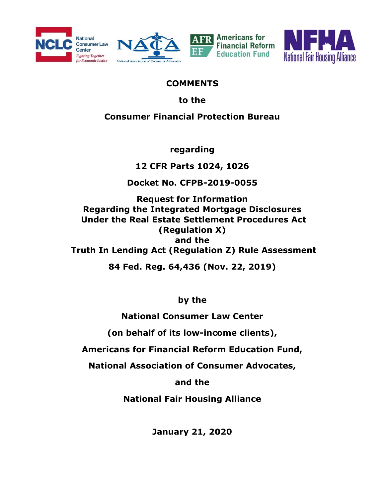







#### **COMMENTS**

to the

## Consumer Financial Protection Bureau

regarding

12 CFR Parts 1024, 1026

Docket No. CFPB-2019-0055

Request for Information Regarding the Integrated Mortgage Disclosures Under the Real Estate Settlement Procedures Act (Regulation X) and the Truth In Lending Act (Regulation Z) Rule Assessment

84 Fed. Reg. 64,436 (Nov. 22, 2019)

by the

National Consumer Law Center

(on behalf of its low-income clients),

Americans for Financial Reform Education Fund,

National Association of Consumer Advocates,

and the

National Fair Housing Alliance

January 21, 2020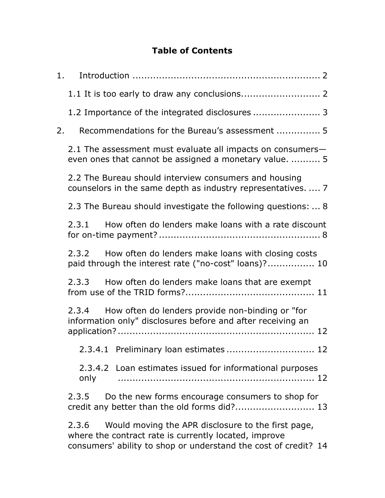### Table of Contents

|    | 1.                                                                                                                    |  |  |  |
|----|-----------------------------------------------------------------------------------------------------------------------|--|--|--|
|    |                                                                                                                       |  |  |  |
|    |                                                                                                                       |  |  |  |
| 2. | Recommendations for the Bureau's assessment  5                                                                        |  |  |  |
|    | 2.1 The assessment must evaluate all impacts on consumers-<br>even ones that cannot be assigned a monetary value.  5  |  |  |  |
|    | 2.2 The Bureau should interview consumers and housing<br>counselors in the same depth as industry representatives.  7 |  |  |  |
|    | 2.3 The Bureau should investigate the following questions:  8                                                         |  |  |  |
|    | How often do lenders make loans with a rate discount<br>2.3.1                                                         |  |  |  |
|    | 2.3.2 How often do lenders make loans with closing costs<br>paid through the interest rate ("no-cost" loans)? 10      |  |  |  |
|    | 2.3.3 How often do lenders make loans that are exempt                                                                 |  |  |  |
|    | 2.3.4 How often do lenders provide non-binding or "for<br>information only" disclosures before and after receiving an |  |  |  |
|    | .12                                                                                                                   |  |  |  |
|    | 2.3.4.2 Loan estimates issued for informational purposes<br>only                                                      |  |  |  |
|    | 2.3.5<br>Do the new forms encourage consumers to shop for<br>credit any better than the old forms did? 13             |  |  |  |
|    | Would moving the APR disclosure to the first page,<br>2.3.6<br>where the contract rate is currently located, improve  |  |  |  |

consumers' ability to shop or understand the cost of credit? 14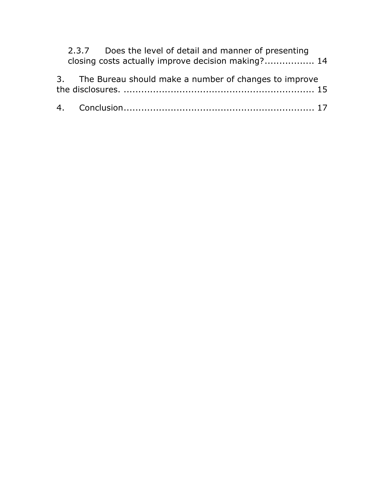|  | 2.3.7 Does the level of detail and manner of presenting<br>closing costs actually improve decision making? 14 |  |
|--|---------------------------------------------------------------------------------------------------------------|--|
|  | 3. The Bureau should make a number of changes to improve                                                      |  |
|  |                                                                                                               |  |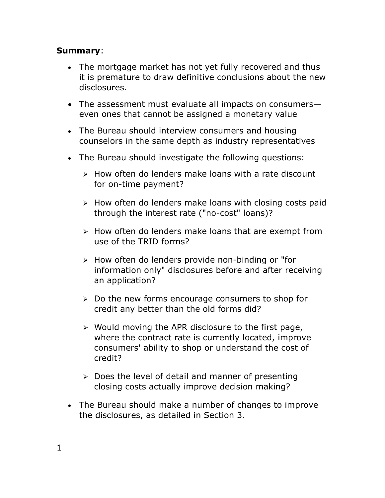#### Summary:

- The mortgage market has not yet fully recovered and thus it is premature to draw definitive conclusions about the new disclosures.
- The assessment must evaluate all impacts on consumerseven ones that cannot be assigned a monetary value
- The Bureau should interview consumers and housing counselors in the same depth as industry representatives
- The Bureau should investigate the following questions:
	- $\triangleright$  How often do lenders make loans with a rate discount for on-time payment?
	- $\triangleright$  How often do lenders make loans with closing costs paid through the interest rate ("no-cost" loans)?
	- $\triangleright$  How often do lenders make loans that are exempt from use of the TRID forms?
	- $\triangleright$  How often do lenders provide non-binding or "for information only" disclosures before and after receiving an application?
	- $\triangleright$  Do the new forms encourage consumers to shop for credit any better than the old forms did?
	- $\triangleright$  Would moving the APR disclosure to the first page, where the contract rate is currently located, improve consumers' ability to shop or understand the cost of credit?
	- $\triangleright$  Does the level of detail and manner of presenting closing costs actually improve decision making?
- The Bureau should make a number of changes to improve the disclosures, as detailed in Section 3.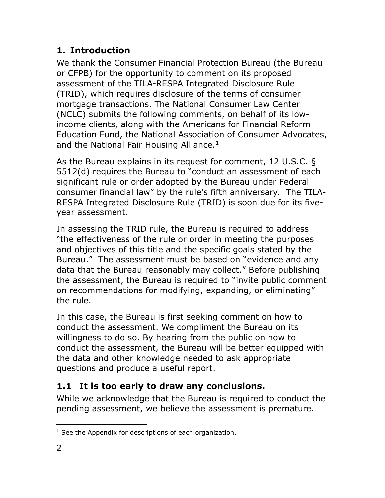## 1. Introduction

We thank the Consumer Financial Protection Bureau (the Bureau or CFPB) for the opportunity to comment on its proposed assessment of the TILA-RESPA Integrated Disclosure Rule (TRID), which requires disclosure of the terms of consumer mortgage transactions. The National Consumer Law Center (NCLC) submits the following comments, on behalf of its lowincome clients, along with the Americans for Financial Reform Education Fund, the National Association of Consumer Advocates, and the National Fair Housing Alliance. $<sup>1</sup>$ </sup>

As the Bureau explains in its request for comment, 12 U.S.C. § 5512(d) requires the Bureau to "conduct an assessment of each significant rule or order adopted by the Bureau under Federal consumer financial law" by the rule's fifth anniversary. The TILA-RESPA Integrated Disclosure Rule (TRID) is soon due for its fiveyear assessment.

In assessing the TRID rule, the Bureau is required to address "the effectiveness of the rule or order in meeting the purposes and objectives of this title and the specific goals stated by the Bureau." The assessment must be based on "evidence and any data that the Bureau reasonably may collect." Before publishing the assessment, the Bureau is required to "invite public comment on recommendations for modifying, expanding, or eliminating" the rule.

In this case, the Bureau is first seeking comment on how to conduct the assessment. We compliment the Bureau on its willingness to do so. By hearing from the public on how to conduct the assessment, the Bureau will be better equipped with the data and other knowledge needed to ask appropriate questions and produce a useful report.

# 1.1 It is too early to draw any conclusions.

While we acknowledge that the Bureau is required to conduct the pending assessment, we believe the assessment is premature.

 $\overline{a}$ <sup>1</sup> See the Appendix for descriptions of each organization.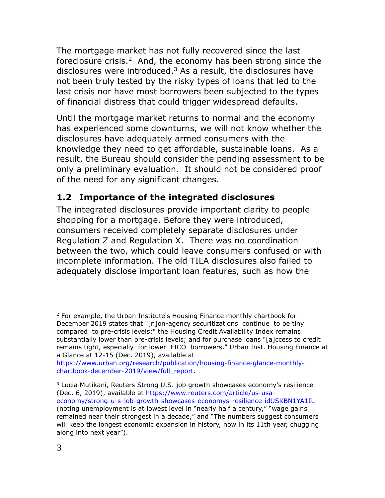The mortgage market has not fully recovered since the last foreclosure crisis.<sup>2</sup> And, the economy has been strong since the disclosures were introduced. $3$  As a result, the disclosures have not been truly tested by the risky types of loans that led to the last crisis nor have most borrowers been subjected to the types of financial distress that could trigger widespread defaults.

Until the mortgage market returns to normal and the economy has experienced some downturns, we will not know whether the disclosures have adequately armed consumers with the knowledge they need to get affordable, sustainable loans. As a result, the Bureau should consider the pending assessment to be only a preliminary evaluation. It should not be considered proof of the need for any significant changes.

## 1.2 Importance of the integrated disclosures

The integrated disclosures provide important clarity to people shopping for a mortgage. Before they were introduced, consumers received completely separate disclosures under Regulation Z and Regulation X. There was no coordination between the two, which could leave consumers confused or with incomplete information. The old TILA disclosures also failed to adequately disclose important loan features, such as how the

 $\overline{a}$ <sup>2</sup> For example, the Urban Institute's Housing Finance monthly chartbook for December 2019 states that "[n]on-agency securitizations continue to be tiny compared to pre-crisis levels;" the Housing Credit Availability Index remains substantially lower than pre-crisis levels; and for purchase loans "[a]ccess to credit remains tight, especially for lower FICO borrowers." Urban Inst. Housing Finance at a Glance at 12-15 (Dec. 2019), available at

https://www.urban.org/research/publication/housing-finance-glance-monthlychartbook-december-2019/view/full\_report.

<sup>&</sup>lt;sup>3</sup> Lucia Mutikani, Reuters Strong U.S. job growth showcases economy's resilience (Dec. 6, 2019), available at https://www.reuters.com/article/us-usaeconomy/strong-u-s-job-growth-showcases-economys-resilience-idUSKBN1YA1IL (noting unemployment is at lowest level in "nearly half a century," "wage gains remained near their strongest in a decade," and "The numbers suggest consumers will keep the longest economic expansion in history, now in its 11th year, chugging along into next year").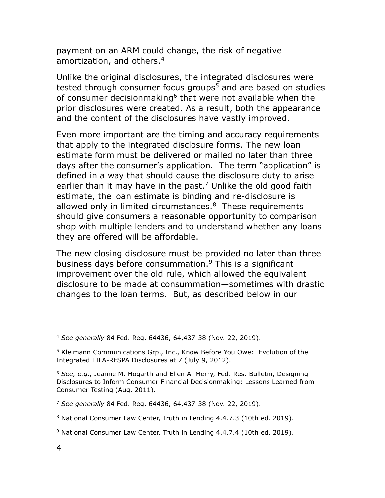payment on an ARM could change, the risk of negative amortization, and others.<sup>4</sup>

Unlike the original disclosures, the integrated disclosures were tested through consumer focus groups<sup>5</sup> and are based on studies of consumer decisionmaking<sup>6</sup> that were not available when the prior disclosures were created. As a result, both the appearance and the content of the disclosures have vastly improved.

Even more important are the timing and accuracy requirements that apply to the integrated disclosure forms. The new loan estimate form must be delivered or mailed no later than three days after the consumer's application. The term "application" is defined in a way that should cause the disclosure duty to arise earlier than it may have in the past.<sup>7</sup> Unlike the old good faith estimate, the loan estimate is binding and re-disclosure is allowed only in limited circumstances.<sup>8</sup> These requirements should give consumers a reasonable opportunity to comparison shop with multiple lenders and to understand whether any loans they are offered will be affordable.

The new closing disclosure must be provided no later than three business days before consummation.<sup>9</sup> This is a significant improvement over the old rule, which allowed the equivalent disclosure to be made at consummation—sometimes with drastic changes to the loan terms. But, as described below in our

<sup>4</sup> See generally 84 Fed. Reg. 64436, 64,437-38 (Nov. 22, 2019).

<sup>&</sup>lt;sup>5</sup> Kleimann Communications Grp., Inc., Know Before You Owe: Evolution of the Integrated TILA-RESPA Disclosures at 7 (July 9, 2012).

 $6$  See, e.g., Jeanne M. Hogarth and Ellen A. Merry, Fed. Res. Bulletin, Designing Disclosures to Inform Consumer Financial Decisionmaking: Lessons Learned from Consumer Testing (Aug. 2011).

<sup>&</sup>lt;sup>7</sup> See generally 84 Fed. Reg. 64436, 64,437-38 (Nov. 22, 2019).

<sup>&</sup>lt;sup>8</sup> National Consumer Law Center, Truth in Lending 4.4.7.3 (10th ed. 2019).

<sup>9</sup> National Consumer Law Center, Truth in Lending 4.4.7.4 (10th ed. 2019).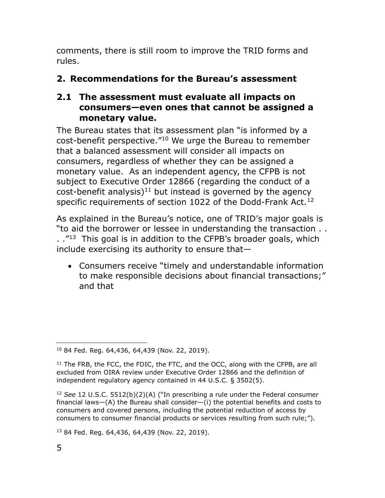comments, there is still room to improve the TRID forms and rules.

## 2. Recommendations for the Bureau's assessment

#### 2.1 The assessment must evaluate all impacts on consumers—even ones that cannot be assigned a monetary value.

The Bureau states that its assessment plan "is informed by a cost-benefit perspective."<sup>10</sup> We urge the Bureau to remember that a balanced assessment will consider all impacts on consumers, regardless of whether they can be assigned a monetary value. As an independent agency, the CFPB is not subject to Executive Order 12866 (regarding the conduct of a  $cost$ -benefit analysis)<sup>11</sup> but instead is governed by the agency specific requirements of section 1022 of the Dodd-Frank Act.<sup>12</sup>

As explained in the Bureau's notice, one of TRID's major goals is "to aid the borrower or lessee in understanding the transaction . .  $1.$  ."<sup>13</sup> This goal is in addition to the CFPB's broader goals, which include exercising its authority to ensure that—

 Consumers receive "timely and understandable information to make responsible decisions about financial transactions;" and that

13 84 Fed. Reg. 64,436, 64,439 (Nov. 22, 2019).

 $\overline{a}$ <sup>10</sup> 84 Fed. Reg. 64,436, 64,439 (Nov. 22, 2019).

 $11$  The FRB, the FCC, the FDIC, the FTC, and the OCC, along with the CFPB, are all excluded from OIRA review under Executive Order 12866 and the definition of independent regulatory agency contained in 44 U.S.C. § 3502(5).

<sup>&</sup>lt;sup>12</sup> See 12 U.S.C. 5512(b)(2)(A) ("In prescribing a rule under the Federal consumer financial laws—(A) the Bureau shall consider—(i) the potential benefits and costs to consumers and covered persons, including the potential reduction of access by consumers to consumer financial products or services resulting from such rule;").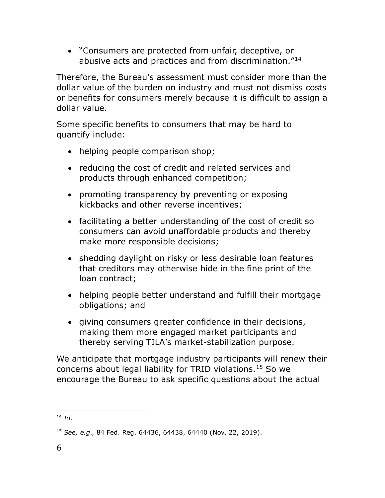"Consumers are protected from unfair, deceptive, or abusive acts and practices and from discrimination."<sup>14</sup>

Therefore, the Bureau's assessment must consider more than the dollar value of the burden on industry and must not dismiss costs or benefits for consumers merely because it is difficult to assign a dollar value.

Some specific benefits to consumers that may be hard to quantify include:

- helping people comparison shop;
- reducing the cost of credit and related services and products through enhanced competition;
- promoting transparency by preventing or exposing kickbacks and other reverse incentives;
- facilitating a better understanding of the cost of credit so consumers can avoid unaffordable products and thereby make more responsible decisions;
- shedding daylight on risky or less desirable loan features that creditors may otherwise hide in the fine print of the loan contract;
- helping people better understand and fulfill their mortgage obligations; and
- giving consumers greater confidence in their decisions, making them more engaged market participants and thereby serving TILA's market-stabilization purpose.

We anticipate that mortgage industry participants will renew their concerns about legal liability for TRID violations.<sup>15</sup> So we encourage the Bureau to ask specific questions about the actual

 $^{14}$  Id.

<sup>15</sup> See, e.g., 84 Fed. Reg. 64436, 64438, 64440 (Nov. 22, 2019).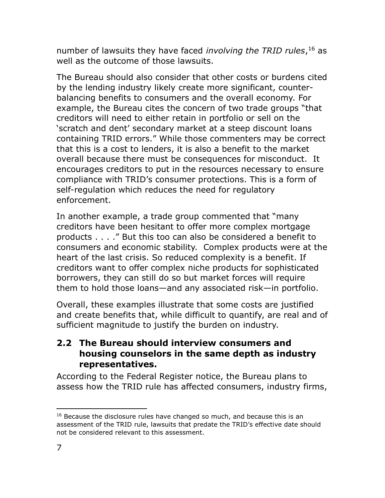number of lawsuits they have faced *involving the TRID rules*, <sup>16</sup> as well as the outcome of those lawsuits.

The Bureau should also consider that other costs or burdens cited by the lending industry likely create more significant, counterbalancing benefits to consumers and the overall economy. For example, the Bureau cites the concern of two trade groups "that creditors will need to either retain in portfolio or sell on the 'scratch and dent' secondary market at a steep discount loans containing TRID errors." While those commenters may be correct that this is a cost to lenders, it is also a benefit to the market overall because there must be consequences for misconduct. It encourages creditors to put in the resources necessary to ensure compliance with TRID's consumer protections. This is a form of self-regulation which reduces the need for regulatory enforcement.

In another example, a trade group commented that "many creditors have been hesitant to offer more complex mortgage products . . . ." But this too can also be considered a benefit to consumers and economic stability. Complex products were at the heart of the last crisis. So reduced complexity is a benefit. If creditors want to offer complex niche products for sophisticated borrowers, they can still do so but market forces will require them to hold those loans—and any associated risk—in portfolio.

Overall, these examples illustrate that some costs are justified and create benefits that, while difficult to quantify, are real and of sufficient magnitude to justify the burden on industry.

#### 2.2 The Bureau should interview consumers and housing counselors in the same depth as industry representatives.

According to the Federal Register notice, the Bureau plans to assess how the TRID rule has affected consumers, industry firms,

 $\overline{a}$  $16$  Because the disclosure rules have changed so much, and because this is an assessment of the TRID rule, lawsuits that predate the TRID's effective date should not be considered relevant to this assessment.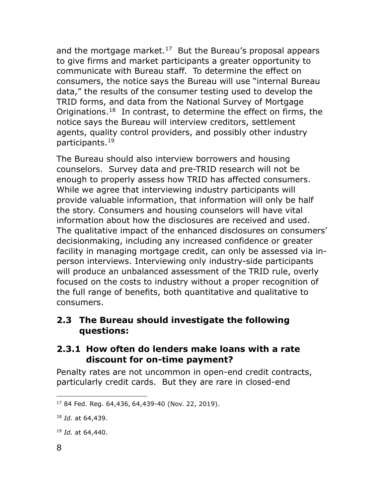and the mortgage market.<sup>17</sup> But the Bureau's proposal appears to give firms and market participants a greater opportunity to communicate with Bureau staff. To determine the effect on consumers, the notice says the Bureau will use "internal Bureau data," the results of the consumer testing used to develop the TRID forms, and data from the National Survey of Mortgage Originations.<sup>18</sup> In contrast, to determine the effect on firms, the notice says the Bureau will interview creditors, settlement agents, quality control providers, and possibly other industry participants.<sup>19</sup>

The Bureau should also interview borrowers and housing counselors. Survey data and pre-TRID research will not be enough to properly assess how TRID has affected consumers. While we agree that interviewing industry participants will provide valuable information, that information will only be half the story. Consumers and housing counselors will have vital information about how the disclosures are received and used. The qualitative impact of the enhanced disclosures on consumers' decisionmaking, including any increased confidence or greater facility in managing mortgage credit, can only be assessed via inperson interviews. Interviewing only industry-side participants will produce an unbalanced assessment of the TRID rule, overly focused on the costs to industry without a proper recognition of the full range of benefits, both quantitative and qualitative to consumers.

#### 2.3 The Bureau should investigate the following questions:

#### 2.3.1 How often do lenders make loans with a rate discount for on-time payment?

Penalty rates are not uncommon in open-end credit contracts, particularly credit cards. But they are rare in closed-end

<sup>17</sup> 84 Fed. Reg. 64,436, 64,439-40 (Nov. 22, 2019).

 $18$  *Id.* at 64,439.

<sup>&</sup>lt;sup>19</sup> *Id.* at 64,440.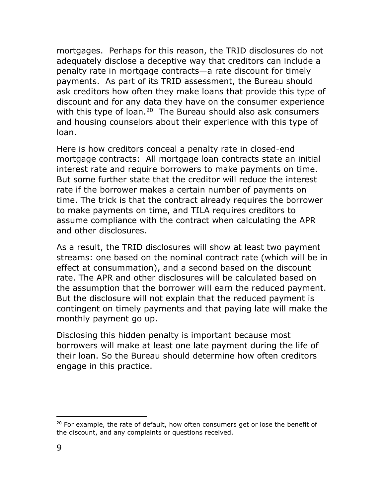mortgages. Perhaps for this reason, the TRID disclosures do not adequately disclose a deceptive way that creditors can include a penalty rate in mortgage contracts—a rate discount for timely payments. As part of its TRID assessment, the Bureau should ask creditors how often they make loans that provide this type of discount and for any data they have on the consumer experience with this type of loan.<sup>20</sup> The Bureau should also ask consumers and housing counselors about their experience with this type of loan.

Here is how creditors conceal a penalty rate in closed-end mortgage contracts: All mortgage loan contracts state an initial interest rate and require borrowers to make payments on time. But some further state that the creditor will reduce the interest rate if the borrower makes a certain number of payments on time. The trick is that the contract already requires the borrower to make payments on time, and TILA requires creditors to assume compliance with the contract when calculating the APR and other disclosures.

As a result, the TRID disclosures will show at least two payment streams: one based on the nominal contract rate (which will be in effect at consummation), and a second based on the discount rate. The APR and other disclosures will be calculated based on the assumption that the borrower will earn the reduced payment. But the disclosure will not explain that the reduced payment is contingent on timely payments and that paying late will make the monthly payment go up.

Disclosing this hidden penalty is important because most borrowers will make at least one late payment during the life of their loan. So the Bureau should determine how often creditors engage in this practice.

 $20$  For example, the rate of default, how often consumers get or lose the benefit of the discount, and any complaints or questions received.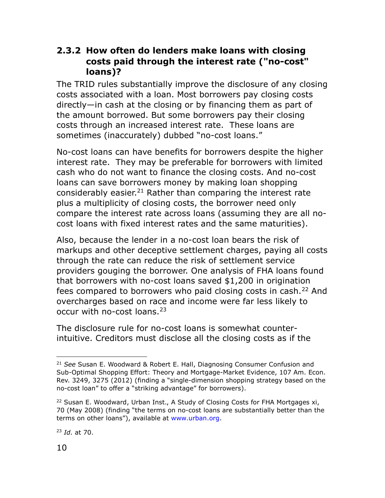#### 2.3.2 How often do lenders make loans with closing costs paid through the interest rate ("no-cost" loans)?

The TRID rules substantially improve the disclosure of any closing costs associated with a loan. Most borrowers pay closing costs directly—in cash at the closing or by financing them as part of the amount borrowed. But some borrowers pay their closing costs through an increased interest rate. These loans are sometimes (inaccurately) dubbed "no-cost loans."

No-cost loans can have benefits for borrowers despite the higher interest rate. They may be preferable for borrowers with limited cash who do not want to finance the closing costs. And no-cost loans can save borrowers money by making loan shopping considerably easier.<sup>21</sup> Rather than comparing the interest rate plus a multiplicity of closing costs, the borrower need only compare the interest rate across loans (assuming they are all nocost loans with fixed interest rates and the same maturities).

Also, because the lender in a no-cost loan bears the risk of markups and other deceptive settlement charges, paying all costs through the rate can reduce the risk of settlement service providers gouging the borrower. One analysis of FHA loans found that borrowers with no-cost loans saved \$1,200 in origination fees compared to borrowers who paid closing costs in cash.<sup>22</sup> And overcharges based on race and income were far less likely to occur with no-cost loans.<sup>23</sup>

The disclosure rule for no-cost loans is somewhat counterintuitive. Creditors must disclose all the closing costs as if the

 $23$  *Id.* at 70.

 $\overline{a}$  $21$  See Susan E. Woodward & Robert E. Hall, Diagnosing Consumer Confusion and Sub-Optimal Shopping Effort: Theory and Mortgage-Market Evidence, 107 Am. Econ. Rev. 3249, 3275 (2012) (finding a "single-dimension shopping strategy based on the no-cost loan" to offer a "striking advantage" for borrowers).

 $22$  Susan E. Woodward, Urban Inst., A Study of Closing Costs for FHA Mortgages xi, 70 (May 2008) (finding "the terms on no-cost loans are substantially better than the terms on other loans"), available at www.urban.org.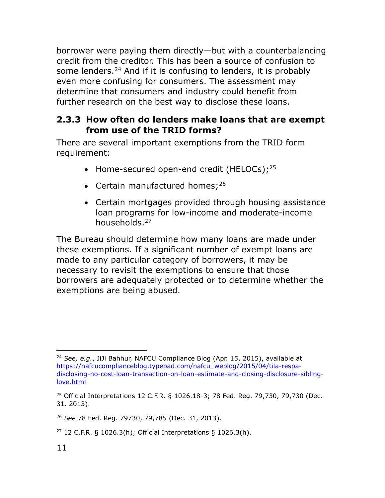borrower were paying them directly—but with a counterbalancing credit from the creditor. This has been a source of confusion to some lenders.<sup>24</sup> And if it is confusing to lenders, it is probably even more confusing for consumers. The assessment may determine that consumers and industry could benefit from further research on the best way to disclose these loans.

### 2.3.3 How often do lenders make loans that are exempt from use of the TRID forms?

There are several important exemptions from the TRID form requirement:

- Home-secured open-end credit (HELOCs); $^{25}$
- Certain manufactured homes;  $26$
- Certain mortgages provided through housing assistance loan programs for low-income and moderate-income households.<sup>27</sup>

The Bureau should determine how many loans are made under these exemptions. If a significant number of exempt loans are made to any particular category of borrowers, it may be necessary to revisit the exemptions to ensure that those borrowers are adequately protected or to determine whether the exemptions are being abused.

 $\overline{a}$ <sup>24</sup> See, e.q., JiJi Bahhur, NAFCU Compliance Blog (Apr. 15, 2015), available at https://nafcucomplianceblog.typepad.com/nafcu\_weblog/2015/04/tila-respadisclosing-no-cost-loan-transaction-on-loan-estimate-and-closing-disclosure-siblinglove.html

<sup>25</sup> Official Interpretations 12 C.F.R. § 1026.18-3; 78 Fed. Reg. 79,730, 79,730 (Dec. 31. 2013).

<sup>26</sup> See 78 Fed. Reg. 79730, 79,785 (Dec. 31, 2013).

 $27$  12 C.F.R. § 1026.3(h); Official Interpretations § 1026.3(h).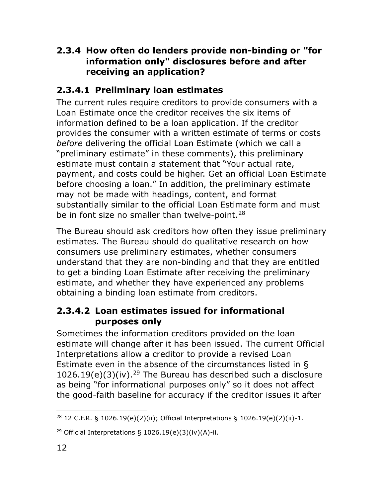## 2.3.4 How often do lenders provide non-binding or "for information only" disclosures before and after receiving an application?

## 2.3.4.1 Preliminary loan estimates

The current rules require creditors to provide consumers with a Loan Estimate once the creditor receives the six items of information defined to be a loan application. If the creditor provides the consumer with a written estimate of terms or costs before delivering the official Loan Estimate (which we call a "preliminary estimate" in these comments), this preliminary estimate must contain a statement that "Your actual rate, payment, and costs could be higher. Get an official Loan Estimate before choosing a loan." In addition, the preliminary estimate may not be made with headings, content, and format substantially similar to the official Loan Estimate form and must be in font size no smaller than twelve-point.<sup>28</sup>

The Bureau should ask creditors how often they issue preliminary estimates. The Bureau should do qualitative research on how consumers use preliminary estimates, whether consumers understand that they are non-binding and that they are entitled to get a binding Loan Estimate after receiving the preliminary estimate, and whether they have experienced any problems obtaining a binding loan estimate from creditors.

## 2.3.4.2 Loan estimates issued for informational purposes only

Sometimes the information creditors provided on the loan estimate will change after it has been issued. The current Official Interpretations allow a creditor to provide a revised Loan Estimate even in the absence of the circumstances listed in §  $1026.19(e)(3)(iv).^{29}$  The Bureau has described such a disclosure as being "for informational purposes only" so it does not affect the good-faith baseline for accuracy if the creditor issues it after

 $\overline{a}$ <sup>28</sup> 12 C.F.R. § 1026.19(e)(2)(ii); Official Interpretations § 1026.19(e)(2)(ii)-1.

<sup>&</sup>lt;sup>29</sup> Official Interpretations § 1026.19(e)(3)(iv)(A)-ii.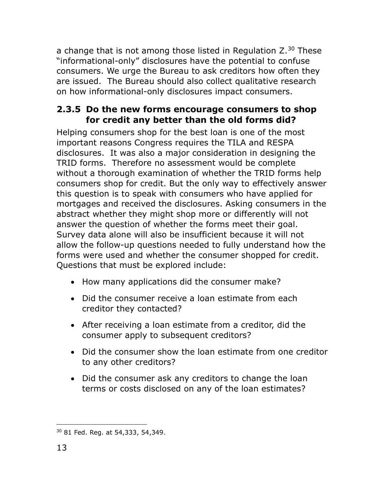a change that is not among those listed in Regulation  $Z<sup>30</sup>$  These "informational-only" disclosures have the potential to confuse consumers. We urge the Bureau to ask creditors how often they are issued. The Bureau should also collect qualitative research on how informational-only disclosures impact consumers.

### 2.3.5 Do the new forms encourage consumers to shop for credit any better than the old forms did?

Helping consumers shop for the best loan is one of the most important reasons Congress requires the TILA and RESPA disclosures. It was also a major consideration in designing the TRID forms. Therefore no assessment would be complete without a thorough examination of whether the TRID forms help consumers shop for credit. But the only way to effectively answer this question is to speak with consumers who have applied for mortgages and received the disclosures. Asking consumers in the abstract whether they might shop more or differently will not answer the question of whether the forms meet their goal. Survey data alone will also be insufficient because it will not allow the follow-up questions needed to fully understand how the forms were used and whether the consumer shopped for credit. Questions that must be explored include:

- How many applications did the consumer make?
- Did the consumer receive a loan estimate from each creditor they contacted?
- After receiving a loan estimate from a creditor, did the consumer apply to subsequent creditors?
- Did the consumer show the loan estimate from one creditor to any other creditors?
- Did the consumer ask any creditors to change the loan terms or costs disclosed on any of the loan estimates?

 $\overline{a}$ 30 81 Fed. Reg. at 54,333, 54,349.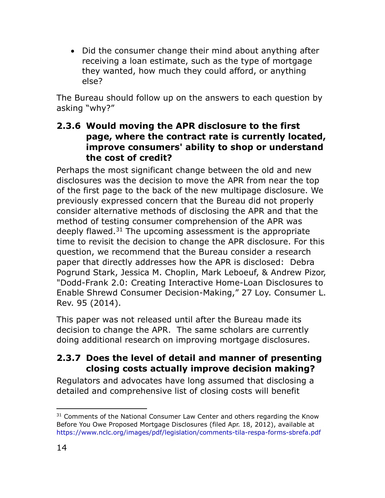• Did the consumer change their mind about anything after receiving a loan estimate, such as the type of mortgage they wanted, how much they could afford, or anything else?

The Bureau should follow up on the answers to each question by asking "why?"

### 2.3.6 Would moving the APR disclosure to the first page, where the contract rate is currently located, improve consumers' ability to shop or understand the cost of credit?

Perhaps the most significant change between the old and new disclosures was the decision to move the APR from near the top of the first page to the back of the new multipage disclosure. We previously expressed concern that the Bureau did not properly consider alternative methods of disclosing the APR and that the method of testing consumer comprehension of the APR was deeply flawed. $31$  The upcoming assessment is the appropriate time to revisit the decision to change the APR disclosure. For this question, we recommend that the Bureau consider a research paper that directly addresses how the APR is disclosed: Debra Pogrund Stark, Jessica M. Choplin, Mark Leboeuf, & Andrew Pizor, "Dodd-Frank 2.0: Creating Interactive Home-Loan Disclosures to Enable Shrewd Consumer Decision-Making," 27 Loy. Consumer L. Rev. 95 (2014).

This paper was not released until after the Bureau made its decision to change the APR. The same scholars are currently doing additional research on improving mortgage disclosures.

## 2.3.7 Does the level of detail and manner of presenting closing costs actually improve decision making?

Regulators and advocates have long assumed that disclosing a detailed and comprehensive list of closing costs will benefit

 $\overline{a}$ <sup>31</sup> Comments of the National Consumer Law Center and others regarding the Know Before You Owe Proposed Mortgage Disclosures (filed Apr. 18, 2012), available at https://www.nclc.org/images/pdf/legislation/comments-tila-respa-forms-sbrefa.pdf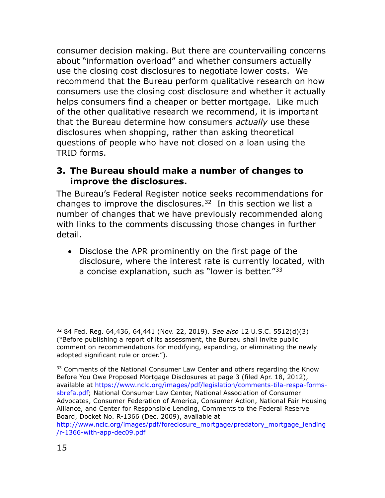consumer decision making. But there are countervailing concerns about "information overload" and whether consumers actually use the closing cost disclosures to negotiate lower costs. We recommend that the Bureau perform qualitative research on how consumers use the closing cost disclosure and whether it actually helps consumers find a cheaper or better mortgage. Like much of the other qualitative research we recommend, it is important that the Bureau determine how consumers *actually* use these disclosures when shopping, rather than asking theoretical questions of people who have not closed on a loan using the TRID forms.

#### 3. The Bureau should make a number of changes to improve the disclosures.

The Bureau's Federal Register notice seeks recommendations for changes to improve the disclosures. $32$  In this section we list a number of changes that we have previously recommended along with links to the comments discussing those changes in further detail.

• Disclose the APR prominently on the first page of the disclosure, where the interest rate is currently located, with a concise explanation, such as "lower is better."<sup>33</sup>

<sup>32 84</sup> Fed. Reg. 64,436, 64,441 (Nov. 22, 2019). See also 12 U.S.C. 5512(d)(3) ("Before publishing a report of its assessment, the Bureau shall invite public comment on recommendations for modifying, expanding, or eliminating the newly adopted significant rule or order.").

<sup>&</sup>lt;sup>33</sup> Comments of the National Consumer Law Center and others regarding the Know Before You Owe Proposed Mortgage Disclosures at page 3 (filed Apr. 18, 2012), available at https://www.nclc.org/images/pdf/legislation/comments-tila-respa-formssbrefa.pdf; National Consumer Law Center, National Association of Consumer Advocates, Consumer Federation of America, Consumer Action, National Fair Housing Alliance, and Center for Responsible Lending, Comments to the Federal Reserve Board, Docket No. R-1366 (Dec. 2009), available at

http://www.nclc.org/images/pdf/foreclosure\_mortgage/predatory\_mortgage\_lending /r-1366-with-app-dec09.pdf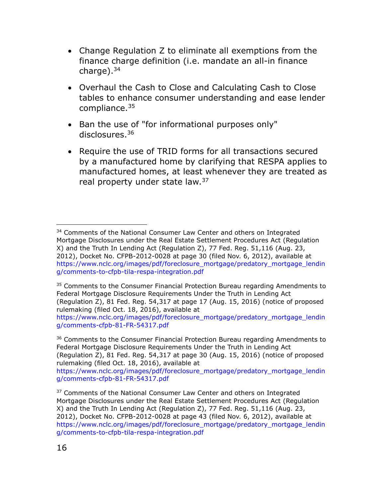- Change Regulation Z to eliminate all exemptions from the finance charge definition (i.e. mandate an all-in finance charge). $34$
- Overhaul the Cash to Close and Calculating Cash to Close tables to enhance consumer understanding and ease lender compliance.<sup>35</sup>
- Ban the use of "for informational purposes only" disclosures.<sup>36</sup>
- Require the use of TRID forms for all transactions secured by a manufactured home by clarifying that RESPA applies to manufactured homes, at least whenever they are treated as real property under state law.<sup>37</sup>

https://www.nclc.org/images/pdf/foreclosure\_mortgage/predatory\_mortgage\_lendin g/comments-cfpb-81-FR-54317.pdf

 $\overline{a}$ <sup>34</sup> Comments of the National Consumer Law Center and others on Integrated Mortgage Disclosures under the Real Estate Settlement Procedures Act (Regulation X) and the Truth In Lending Act (Regulation Z), 77 Fed. Reg. 51,116 (Aug. 23, 2012), Docket No. CFPB-2012-0028 at page 30 (filed Nov. 6, 2012), available at https://www.nclc.org/images/pdf/foreclosure\_mortgage/predatory\_mortgage\_lendin g/comments-to-cfpb-tila-respa-integration.pdf

<sup>&</sup>lt;sup>35</sup> Comments to the Consumer Financial Protection Bureau regarding Amendments to Federal Mortgage Disclosure Requirements Under the Truth in Lending Act (Regulation Z), 81 Fed. Reg. 54,317 at page 17 (Aug. 15, 2016) (notice of proposed rulemaking (filed Oct. 18, 2016), available at

<sup>&</sup>lt;sup>36</sup> Comments to the Consumer Financial Protection Bureau regarding Amendments to Federal Mortgage Disclosure Requirements Under the Truth in Lending Act (Regulation Z), 81 Fed. Reg. 54,317 at page 30 (Aug. 15, 2016) (notice of proposed rulemaking (filed Oct. 18, 2016), available at

https://www.nclc.org/images/pdf/foreclosure\_mortgage/predatory\_mortgage\_lendin g/comments-cfpb-81-FR-54317.pdf

<sup>&</sup>lt;sup>37</sup> Comments of the National Consumer Law Center and others on Integrated Mortgage Disclosures under the Real Estate Settlement Procedures Act (Regulation X) and the Truth In Lending Act (Regulation Z), 77 Fed. Reg. 51,116 (Aug. 23, 2012), Docket No. CFPB-2012-0028 at page 43 (filed Nov. 6, 2012), available at https://www.nclc.org/images/pdf/foreclosure\_mortgage/predatory\_mortgage\_lendin g/comments-to-cfpb-tila-respa-integration.pdf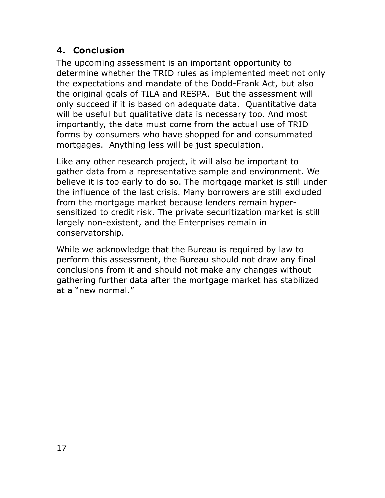## 4. Conclusion

The upcoming assessment is an important opportunity to determine whether the TRID rules as implemented meet not only the expectations and mandate of the Dodd-Frank Act, but also the original goals of TILA and RESPA. But the assessment will only succeed if it is based on adequate data. Quantitative data will be useful but qualitative data is necessary too. And most importantly, the data must come from the actual use of TRID forms by consumers who have shopped for and consummated mortgages. Anything less will be just speculation.

Like any other research project, it will also be important to gather data from a representative sample and environment. We believe it is too early to do so. The mortgage market is still under the influence of the last crisis. Many borrowers are still excluded from the mortgage market because lenders remain hypersensitized to credit risk. The private securitization market is still largely non-existent, and the Enterprises remain in conservatorship.

While we acknowledge that the Bureau is required by law to perform this assessment, the Bureau should not draw any final conclusions from it and should not make any changes without gathering further data after the mortgage market has stabilized at a "new normal."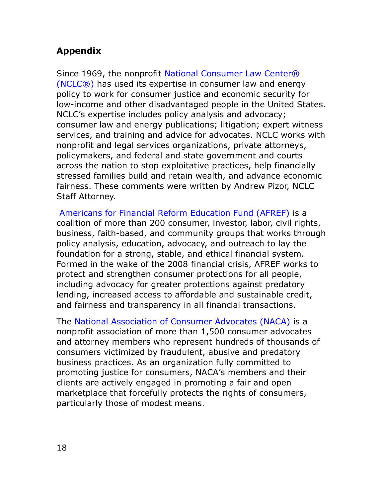## Appendix

Since 1969, the nonprofit National Consumer Law Center® (NCLC®) has used its expertise in consumer law and energy policy to work for consumer justice and economic security for low-income and other disadvantaged people in the United States. NCLC's expertise includes policy analysis and advocacy; consumer law and energy publications; litigation; expert witness services, and training and advice for advocates. NCLC works with nonprofit and legal services organizations, private attorneys, policymakers, and federal and state government and courts across the nation to stop exploitative practices, help financially stressed families build and retain wealth, and advance economic fairness. These comments were written by Andrew Pizor, NCLC Staff Attorney.

Americans for Financial Reform Education Fund (AFREF) is a coalition of more than 200 consumer, investor, labor, civil rights, business, faith-based, and community groups that works through policy analysis, education, advocacy, and outreach to lay the foundation for a strong, stable, and ethical financial system. Formed in the wake of the 2008 financial crisis, AFREF works to protect and strengthen consumer protections for all people, including advocacy for greater protections against predatory lending, increased access to affordable and sustainable credit, and fairness and transparency in all financial transactions.

The National Association of Consumer Advocates (NACA) is a nonprofit association of more than 1,500 consumer advocates and attorney members who represent hundreds of thousands of consumers victimized by fraudulent, abusive and predatory business practices. As an organization fully committed to promoting justice for consumers, NACA's members and their clients are actively engaged in promoting a fair and open marketplace that forcefully protects the rights of consumers, particularly those of modest means.